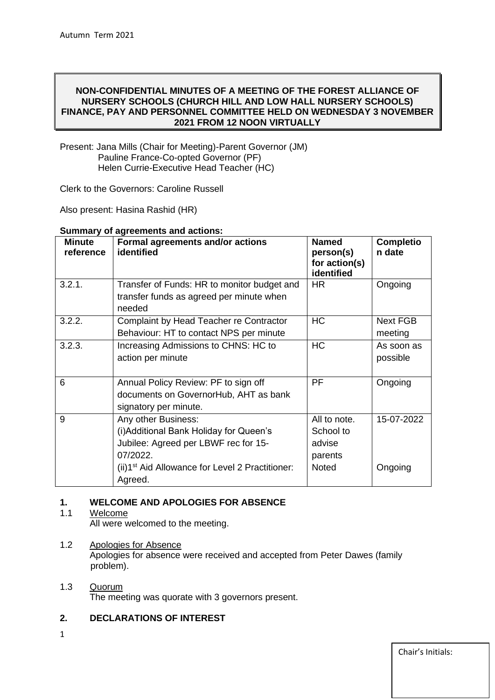## **NON-CONFIDENTIAL MINUTES OF A MEETING OF THE FOREST ALLIANCE OF NURSERY SCHOOLS (CHURCH HILL AND LOW HALL NURSERY SCHOOLS) FINANCE, PAY AND PERSONNEL COMMITTEE HELD ON WEDNESDAY 3 NOVEMBER 2021 FROM 12 NOON VIRTUALLY**

Present: Jana Mills (Chair for Meeting)-Parent Governor (JM) Pauline France-Co-opted Governor (PF) Helen Currie-Executive Head Teacher (HC)

Clerk to the Governors: Caroline Russell

Also present: Hasina Rashid (HR)

| <b>Minute</b><br>reference | Formal agreements and/or actions<br>identified                                                                                                                                               | <b>Named</b><br>person(s)<br>for action(s)<br>identified       | <b>Completio</b><br>n date |
|----------------------------|----------------------------------------------------------------------------------------------------------------------------------------------------------------------------------------------|----------------------------------------------------------------|----------------------------|
| 3.2.1.                     | Transfer of Funds: HR to monitor budget and<br>transfer funds as agreed per minute when<br>needed                                                                                            | <b>HR</b>                                                      | Ongoing                    |
| 3.2.2.                     | Complaint by Head Teacher re Contractor<br>Behaviour: HT to contact NPS per minute                                                                                                           | <b>HC</b>                                                      | <b>Next FGB</b><br>meeting |
| 3.2.3.                     | Increasing Admissions to CHNS: HC to<br>action per minute                                                                                                                                    | <b>HC</b>                                                      | As soon as<br>possible     |
| 6                          | Annual Policy Review: PF to sign off<br>documents on GovernorHub, AHT as bank<br>signatory per minute.                                                                                       | PF                                                             | Ongoing                    |
| 9                          | Any other Business:<br>(i) Additional Bank Holiday for Queen's<br>Jubilee: Agreed per LBWF rec for 15-<br>07/2022.<br>(ii)1 <sup>st</sup> Aid Allowance for Level 2 Practitioner:<br>Agreed. | All to note.<br>School to<br>advise<br>parents<br><b>Noted</b> | 15-07-2022<br>Ongoing      |

#### **Summary of agreements and actions:**

# **1. WELCOME AND APOLOGIES FOR ABSENCE**

# 1.1 Welcome

All were welcomed to the meeting.

## 1.2 Apologies for Absence

Apologies for absence were received and accepted from Peter Dawes (family problem).

#### 1.3 Quorum The meeting was quorate with 3 governors present.

# **2. DECLARATIONS OF INTEREST**

1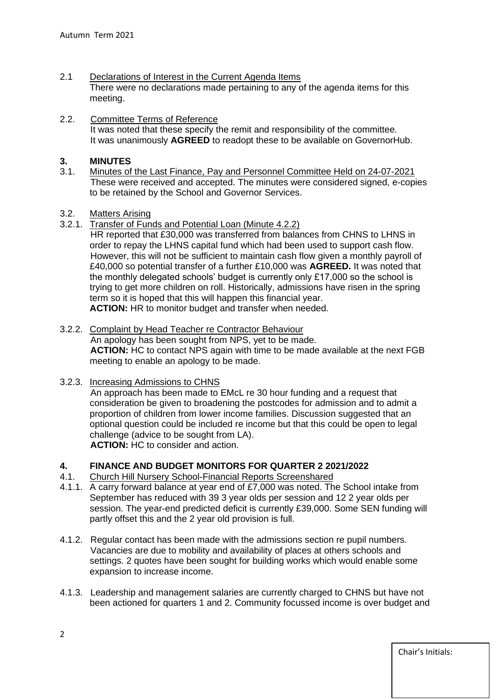- 2.1 Declarations of Interest in the Current Agenda Items There were no declarations made pertaining to any of the agenda items for this meeting.
- 2.2. Committee Terms of Reference It was noted that these specify the remit and responsibility of the committee. It was unanimously **AGREED** to readopt these to be available on GovernorHub.

# **3. MINUTES**

- 3.1. Minutes of the Last Finance, Pay and Personnel Committee Held on 24-07-2021 These were received and accepted. The minutes were considered signed, e-copies to be retained by the School and Governor Services.
- 3.2. Matters Arising
- 3.2.1. Transfer of Funds and Potential Loan (Minute 4.2.2)
	- HR reported that £30,000 was transferred from balances from CHNS to LHNS in order to repay the LHNS capital fund which had been used to support cash flow. However, this will not be sufficient to maintain cash flow given a monthly payroll of £40,000 so potential transfer of a further £10,000 was **AGREED.** It was noted that the monthly delegated schools' budget is currently only £17,000 so the school is trying to get more children on roll. Historically, admissions have risen in the spring term so it is hoped that this will happen this financial year. **ACTION:** HR to monitor budget and transfer when needed.
- 3.2.2. Complaint by Head Teacher re Contractor Behaviour An apology has been sought from NPS, yet to be made.  **ACTION:** HC to contact NPS again with time to be made available at the next FGB meeting to enable an apology to be made.
- 3.2.3. Increasing Admissions to CHNS

 An approach has been made to EMcL re 30 hour funding and a request that consideration be given to broadening the postcodes for admission and to admit a proportion of children from lower income families. Discussion suggested that an optional question could be included re income but that this could be open to legal challenge (advice to be sought from LA). **ACTION:** HC to consider and action.

# **4. FINANCE AND BUDGET MONITORS FOR QUARTER 2 2021/2022**

- 4.1. Church Hill Nursery School-Financial Reports Screenshared
- 4.1.1. A carry forward balance at year end of £7,000 was noted. The School intake from September has reduced with 39 3 year olds per session and 12 2 year olds per session. The year-end predicted deficit is currently £39,000. Some SEN funding will partly offset this and the 2 year old provision is full.
- 4.1.2. Regular contact has been made with the admissions section re pupil numbers. Vacancies are due to mobility and availability of places at others schools and settings. 2 quotes have been sought for building works which would enable some expansion to increase income.
- 4.1.3. Leadership and management salaries are currently charged to CHNS but have not been actioned for quarters 1 and 2. Community focussed income is over budget and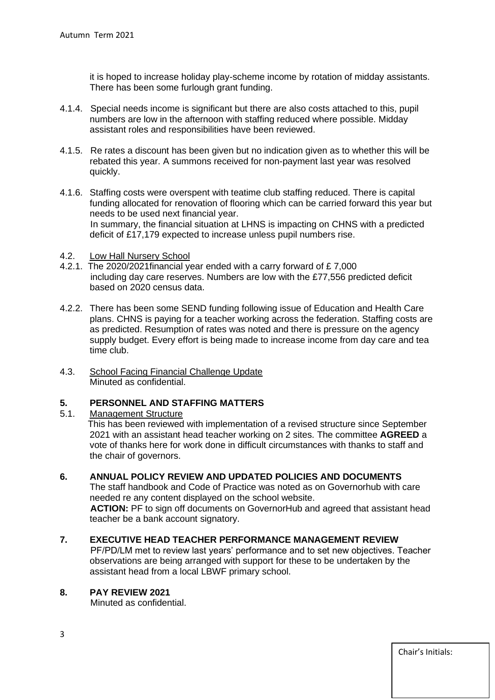it is hoped to increase holiday play-scheme income by rotation of midday assistants. There has been some furlough grant funding.

- 4.1.4. Special needs income is significant but there are also costs attached to this, pupil numbers are low in the afternoon with staffing reduced where possible. Midday assistant roles and responsibilities have been reviewed.
- 4.1.5. Re rates a discount has been given but no indication given as to whether this will be rebated this year. A summons received for non-payment last year was resolved quickly.
- 4.1.6. Staffing costs were overspent with teatime club staffing reduced. There is capital funding allocated for renovation of flooring which can be carried forward this year but needs to be used next financial year. In summary, the financial situation at LHNS is impacting on CHNS with a predicted deficit of £17,179 expected to increase unless pupil numbers rise.
- 4.2. Low Hall Nursery School
- 4.2.1. The 2020/2021financial year ended with a carry forward of £ 7,000 including day care reserves. Numbers are low with the £77,556 predicted deficit based on 2020 census data.
- 4.2.2. There has been some SEND funding following issue of Education and Health Care plans. CHNS is paying for a teacher working across the federation. Staffing costs are as predicted. Resumption of rates was noted and there is pressure on the agency supply budget. Every effort is being made to increase income from day care and tea time club.
- 4.3. School Facing Financial Challenge Update Minuted as confidential.

### **5. PERSONNEL AND STAFFING MATTERS**

5.1. Management Structure

 This has been reviewed with implementation of a revised structure since September 2021 with an assistant head teacher working on 2 sites. The committee **AGREED** a vote of thanks here for work done in difficult circumstances with thanks to staff and the chair of governors.

### **6. ANNUAL POLICY REVIEW AND UPDATED POLICIES AND DOCUMENTS**

The staff handbook and Code of Practice was noted as on Governorhub with care needed re any content displayed on the school website.  **ACTION:** PF to sign off documents on GovernorHub and agreed that assistant head

teacher be a bank account signatory.

### **7. EXECUTIVE HEAD TEACHER PERFORMANCE MANAGEMENT REVIEW**

 PF/PD/LM met to review last years' performance and to set new objectives. Teacher observations are being arranged with support for these to be undertaken by the assistant head from a local LBWF primary school.

## **8. PAY REVIEW 2021**

Minuted as confidential.